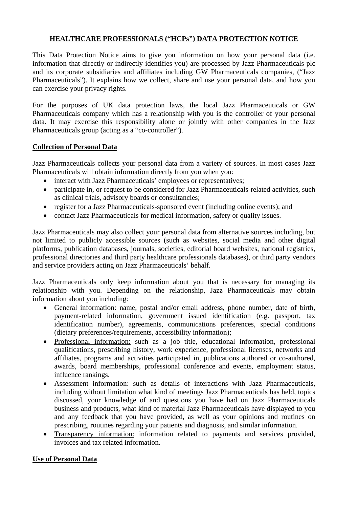## **HEALTHCARE PROFESSIONALS ("HCPs") DATA PROTECTION NOTICE**

This Data Protection Notice aims to give you information on how your personal data (i.e. information that directly or indirectly identifies you) are processed by Jazz Pharmaceuticals plc and its corporate subsidiaries and affiliates including GW Pharmaceuticals companies, ("Jazz Pharmaceuticals"). It explains how we collect, share and use your personal data, and how you can exercise your privacy rights.

For the purposes of UK data protection laws, the local Jazz Pharmaceuticals or GW Pharmaceuticals company which has a relationship with you is the controller of your personal data. It may exercise this responsibility alone or jointly with other companies in the Jazz Pharmaceuticals group (acting as a "co-controller").

# **Collection of Personal Data**

Jazz Pharmaceuticals collects your personal data from a variety of sources. In most cases Jazz Pharmaceuticals will obtain information directly from you when you:

- interact with Jazz Pharmaceuticals' employees or representatives;
- participate in, or request to be considered for Jazz Pharmaceuticals-related activities, such as clinical trials, advisory boards or consultancies;
- register for a Jazz Pharmaceuticals-sponsored event (including online events); and
- contact Jazz Pharmaceuticals for medical information, safety or quality issues.

Jazz Pharmaceuticals may also collect your personal data from alternative sources including, but not limited to publicly accessible sources (such as websites, social media and other digital platforms, publication databases, journals, societies, editorial board websites, national registries, professional directories and third party healthcare professionals databases), or third party vendors and service providers acting on Jazz Pharmaceuticals' behalf.

Jazz Pharmaceuticals only keep information about you that is necessary for managing its relationship with you. Depending on the relationship, Jazz Pharmaceuticals may obtain information about you including:

- General information: name, postal and/or email address, phone number, date of birth, payment-related information, government issued identification (e.g. passport, tax identification number), agreements, communications preferences, special conditions (dietary preferences/requirements, accessibility information);
- Professional information: such as a job title, educational information, professional qualifications, prescribing history, work experience, professional licenses, networks and affiliates, programs and activities participated in, publications authored or co-authored, awards, board memberships, professional conference and events, employment status, influence rankings.
- Assessment information: such as details of interactions with Jazz Pharmaceuticals, including without limitation what kind of meetings Jazz Pharmaceuticals has held, topics discussed, your knowledge of and questions you have had on Jazz Pharmaceuticals business and products, what kind of material Jazz Pharmaceuticals have displayed to you and any feedback that you have provided, as well as your opinions and routines on prescribing, routines regarding your patients and diagnosis, and similar information.
- Transparency information: information related to payments and services provided, invoices and tax related information.

### **Use of Personal Data**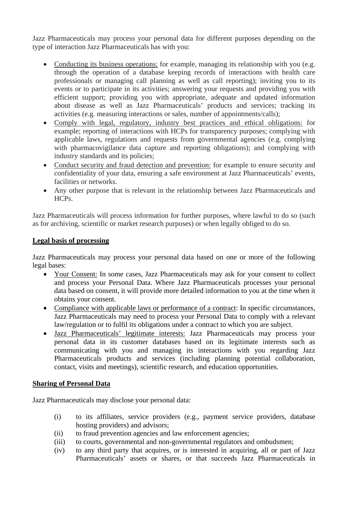Jazz Pharmaceuticals may process your personal data for different purposes depending on the type of interaction Jazz Pharmaceuticals has with you:

- Conducting its business operations: for example, managing its relationship with you (e.g. through the operation of a database keeping records of interactions with health care professionals or managing call planning as well as call reporting); inviting you to its events or to participate in its activities; answering your requests and providing you with efficient support; providing you with appropriate, adequate and updated information about disease as well as Jazz Pharmaceuticals' products and services; tracking its activities (e.g. measuring interactions or sales, number of appointments/calls);
- Comply with legal, regulatory, industry best practices and ethical obligations: for example; reporting of interactions with HCPs for transparency purposes; complying with applicable laws, regulations and requests from governmental agencies (e.g. complying with pharmacovigilance data capture and reporting obligations); and complying with industry standards and its policies;
- Conduct security and fraud detection and prevention: for example to ensure security and confidentiality of your data, ensuring a safe environment at Jazz Pharmaceuticals' events, facilities or networks.
- Any other purpose that is relevant in the relationship between Jazz Pharmaceuticals and HCPs.

Jazz Pharmaceuticals will process information for further purposes, where lawful to do so (such as for archiving, scientific or market research purposes) or when legally obliged to do so.

#### **Legal basis of processing**

Jazz Pharmaceuticals may process your personal data based on one or more of the following legal bases:

- Your Consent: In some cases, Jazz Pharmaceuticals may ask for your consent to collect and process your Personal Data. Where Jazz Pharmaceuticals processes your personal data based on consent, it will provide more detailed information to you at the time when it obtains your consent.
- Compliance with applicable laws or performance of a contract: In specific circumstances, Jazz Pharmaceuticals may need to process your Personal Data to comply with a relevant law/regulation or to fulfil its obligations under a contract to which you are subject.
- Jazz Pharmaceuticals' legitimate interests: Jazz Pharmaceuticals may process your personal data in its customer databases based on its legitimate interests such as communicating with you and managing its interactions with you regarding Jazz Pharmaceuticals products and services (including planning potential collaboration, contact, visits and meetings), scientific research, and education opportunities.

### **Sharing of Personal Data**

Jazz Pharmaceuticals may disclose your personal data:

- (i) to its affiliates, service providers (e.g., payment service providers, database hosting providers) and advisors;
- (ii) to fraud prevention agencies and law enforcement agencies;
- (iii) to courts, governmental and non-governmental regulators and ombudsmen;
- (iv) to any third party that acquires, or is interested in acquiring, all or part of Jazz Pharmaceuticals' assets or shares, or that succeeds Jazz Pharmaceuticals in